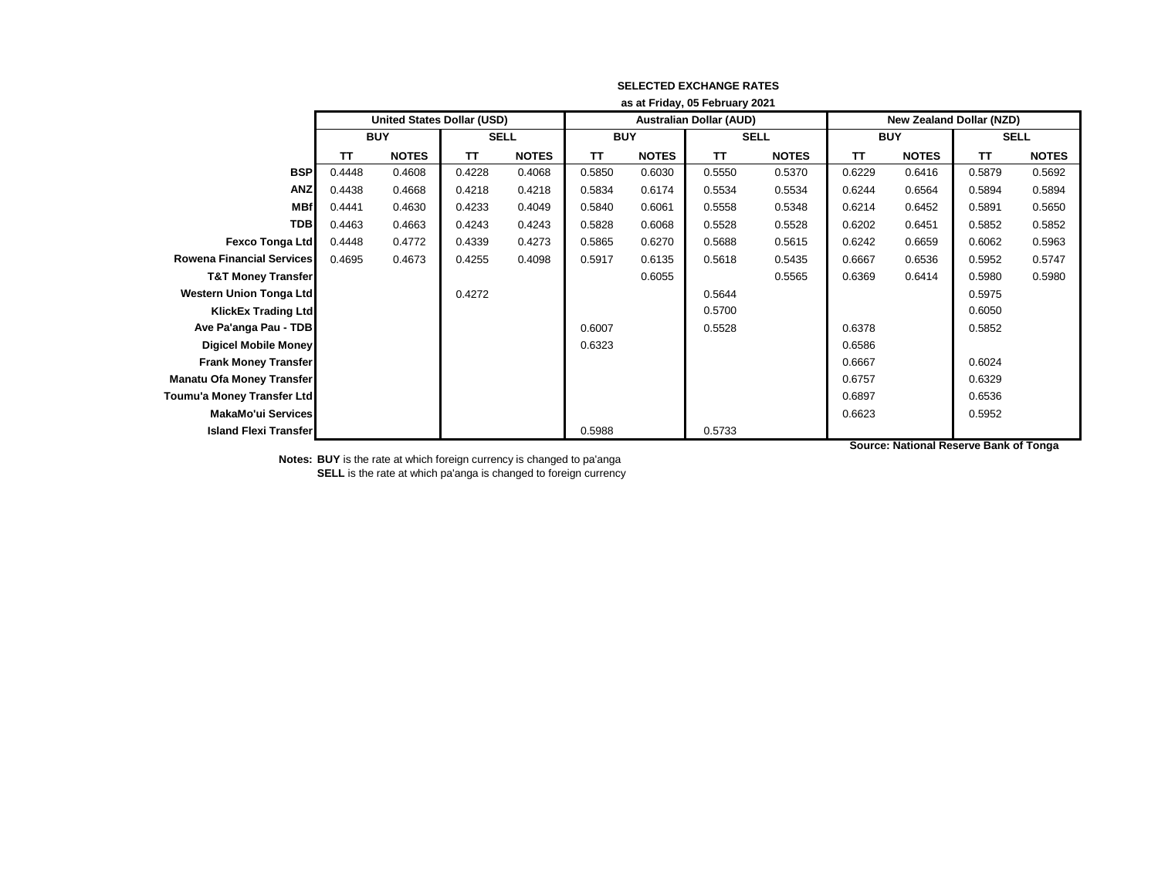|                                  | as at Friday, 05 February 2021 |                                   |             |              |            |              |                                |              |                          |              |             |              |
|----------------------------------|--------------------------------|-----------------------------------|-------------|--------------|------------|--------------|--------------------------------|--------------|--------------------------|--------------|-------------|--------------|
|                                  |                                | <b>United States Dollar (USD)</b> |             |              |            |              | <b>Australian Dollar (AUD)</b> |              | New Zealand Dollar (NZD) |              |             |              |
|                                  | <b>BUY</b>                     |                                   | <b>SELL</b> |              | <b>BUY</b> |              | <b>SELL</b>                    |              | <b>BUY</b>               |              | <b>SELL</b> |              |
|                                  | TТ                             | <b>NOTES</b>                      | TΤ          | <b>NOTES</b> | TΤ         | <b>NOTES</b> | TΤ                             | <b>NOTES</b> | TΤ                       | <b>NOTES</b> | TΤ          | <b>NOTES</b> |
| <b>BSP</b>                       | 0.4448                         | 0.4608                            | 0.4228      | 0.4068       | 0.5850     | 0.6030       | 0.5550                         | 0.5370       | 0.6229                   | 0.6416       | 0.5879      | 0.5692       |
| <b>ANZ</b>                       | 0.4438                         | 0.4668                            | 0.4218      | 0.4218       | 0.5834     | 0.6174       | 0.5534                         | 0.5534       | 0.6244                   | 0.6564       | 0.5894      | 0.5894       |
| <b>MBf</b>                       | 0.4441                         | 0.4630                            | 0.4233      | 0.4049       | 0.5840     | 0.6061       | 0.5558                         | 0.5348       | 0.6214                   | 0.6452       | 0.5891      | 0.5650       |
| <b>TDB</b>                       | 0.4463                         | 0.4663                            | 0.4243      | 0.4243       | 0.5828     | 0.6068       | 0.5528                         | 0.5528       | 0.6202                   | 0.6451       | 0.5852      | 0.5852       |
| <b>Fexco Tonga Ltd</b>           | 0.4448                         | 0.4772                            | 0.4339      | 0.4273       | 0.5865     | 0.6270       | 0.5688                         | 0.5615       | 0.6242                   | 0.6659       | 0.6062      | 0.5963       |
| <b>Rowena Financial Services</b> | 0.4695                         | 0.4673                            | 0.4255      | 0.4098       | 0.5917     | 0.6135       | 0.5618                         | 0.5435       | 0.6667                   | 0.6536       | 0.5952      | 0.5747       |
| <b>T&amp;T Money Transfer</b>    |                                |                                   |             |              |            | 0.6055       |                                | 0.5565       | 0.6369                   | 0.6414       | 0.5980      | 0.5980       |
| <b>Western Union Tonga Ltd</b>   |                                |                                   | 0.4272      |              |            |              | 0.5644                         |              |                          |              | 0.5975      |              |
| <b>KlickEx Trading Ltd</b>       |                                |                                   |             |              |            |              | 0.5700                         |              |                          |              | 0.6050      |              |
| Ave Pa'anga Pau - TDB            |                                |                                   |             |              | 0.6007     |              | 0.5528                         |              | 0.6378                   |              | 0.5852      |              |
| <b>Digicel Mobile Money</b>      |                                |                                   |             |              | 0.6323     |              |                                |              | 0.6586                   |              |             |              |
| <b>Frank Money Transfer</b>      |                                |                                   |             |              |            |              |                                |              | 0.6667                   |              | 0.6024      |              |
| <b>Manatu Ofa Money Transfer</b> |                                |                                   |             |              |            |              |                                |              | 0.6757                   |              | 0.6329      |              |
| Toumu'a Money Transfer Ltd       |                                |                                   |             |              |            |              |                                |              | 0.6897                   |              | 0.6536      |              |
| MakaMo'ui Services               |                                |                                   |             |              |            |              |                                |              | 0.6623                   |              | 0.5952      |              |
| <b>Island Flexi Transfer</b>     |                                |                                   |             |              | 0.5988     |              | 0.5733                         |              |                          |              |             |              |

**Source: National Reserve Bank of Tonga**

**Notes: BUY** is the rate at which foreign currency is changed to pa'anga

**SELL** is the rate at which pa'anga is changed to foreign currency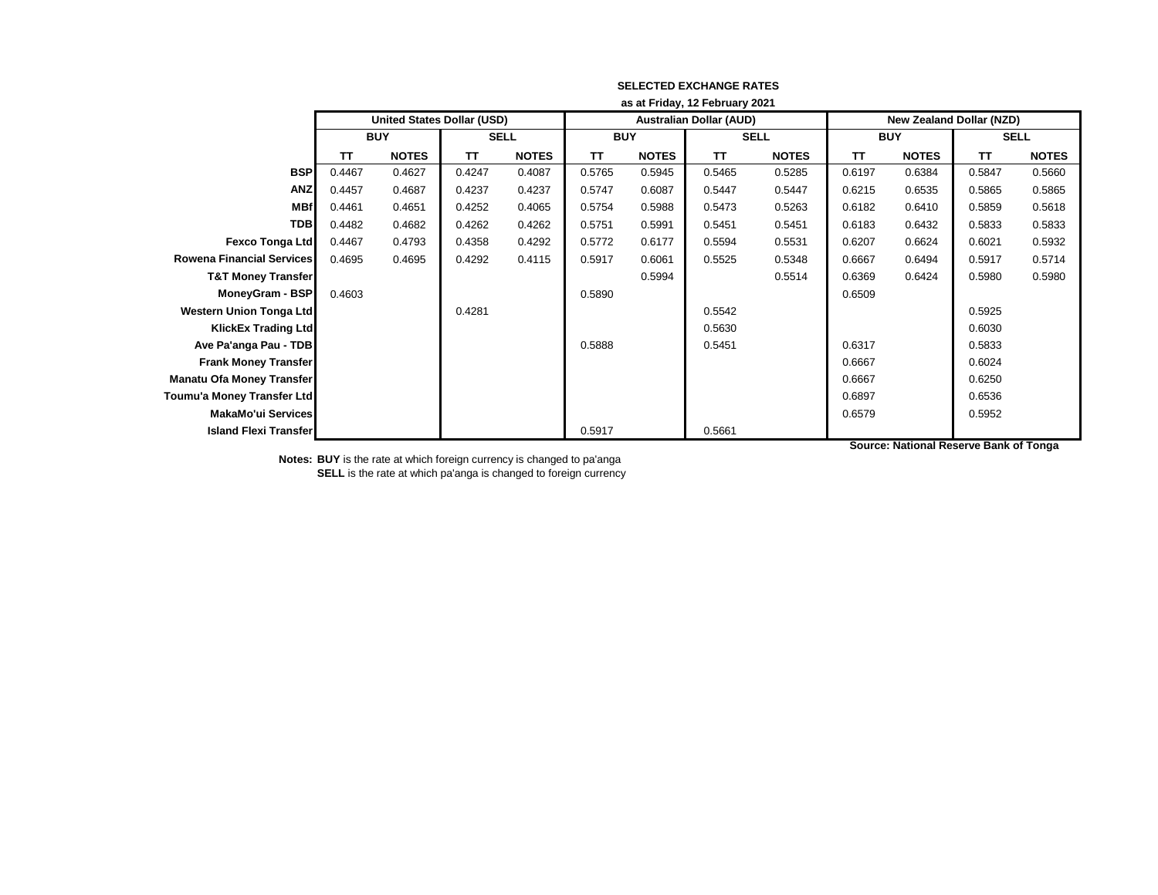|                                  | as at Friday, 12 February 2021 |                                   |             |              |            |              |                                |              |                                 |              |             |              |
|----------------------------------|--------------------------------|-----------------------------------|-------------|--------------|------------|--------------|--------------------------------|--------------|---------------------------------|--------------|-------------|--------------|
|                                  |                                | <b>United States Dollar (USD)</b> |             |              |            |              | <b>Australian Dollar (AUD)</b> |              | <b>New Zealand Dollar (NZD)</b> |              |             |              |
|                                  | <b>BUY</b>                     |                                   | <b>SELL</b> |              | <b>BUY</b> |              | <b>SELL</b>                    |              | <b>BUY</b>                      |              | <b>SELL</b> |              |
|                                  | TТ                             | <b>NOTES</b>                      | TT          | <b>NOTES</b> | ΤT         | <b>NOTES</b> | ΤT                             | <b>NOTES</b> | TT                              | <b>NOTES</b> | <b>TT</b>   | <b>NOTES</b> |
| <b>BSP</b>                       | 0.4467                         | 0.4627                            | 0.4247      | 0.4087       | 0.5765     | 0.5945       | 0.5465                         | 0.5285       | 0.6197                          | 0.6384       | 0.5847      | 0.5660       |
| <b>ANZ</b>                       | 0.4457                         | 0.4687                            | 0.4237      | 0.4237       | 0.5747     | 0.6087       | 0.5447                         | 0.5447       | 0.6215                          | 0.6535       | 0.5865      | 0.5865       |
| <b>MBf</b>                       | 0.4461                         | 0.4651                            | 0.4252      | 0.4065       | 0.5754     | 0.5988       | 0.5473                         | 0.5263       | 0.6182                          | 0.6410       | 0.5859      | 0.5618       |
| <b>TDB</b>                       | 0.4482                         | 0.4682                            | 0.4262      | 0.4262       | 0.5751     | 0.5991       | 0.5451                         | 0.5451       | 0.6183                          | 0.6432       | 0.5833      | 0.5833       |
| <b>Fexco Tonga Ltd</b>           | 0.4467                         | 0.4793                            | 0.4358      | 0.4292       | 0.5772     | 0.6177       | 0.5594                         | 0.5531       | 0.6207                          | 0.6624       | 0.6021      | 0.5932       |
| <b>Rowena Financial Services</b> | 0.4695                         | 0.4695                            | 0.4292      | 0.4115       | 0.5917     | 0.6061       | 0.5525                         | 0.5348       | 0.6667                          | 0.6494       | 0.5917      | 0.5714       |
| <b>T&amp;T Money Transfer</b>    |                                |                                   |             |              |            | 0.5994       |                                | 0.5514       | 0.6369                          | 0.6424       | 0.5980      | 0.5980       |
| MoneyGram - BSP                  | 0.4603                         |                                   |             |              | 0.5890     |              |                                |              | 0.6509                          |              |             |              |
| Western Union Tonga Ltd          |                                |                                   | 0.4281      |              |            |              | 0.5542                         |              |                                 |              | 0.5925      |              |
| <b>KlickEx Trading Ltd</b>       |                                |                                   |             |              |            |              | 0.5630                         |              |                                 |              | 0.6030      |              |
| Ave Pa'anga Pau - TDB            |                                |                                   |             |              | 0.5888     |              | 0.5451                         |              | 0.6317                          |              | 0.5833      |              |
| <b>Frank Money Transfer</b>      |                                |                                   |             |              |            |              |                                |              | 0.6667                          |              | 0.6024      |              |
| <b>Manatu Ofa Money Transfer</b> |                                |                                   |             |              |            |              |                                |              | 0.6667                          |              | 0.6250      |              |
| Toumu'a Money Transfer Ltd       |                                |                                   |             |              |            |              |                                |              | 0.6897                          |              | 0.6536      |              |
| MakaMo'ui Services               |                                |                                   |             |              |            |              |                                |              | 0.6579                          |              | 0.5952      |              |
| <b>Island Flexi Transfer</b>     |                                |                                   |             |              | 0.5917     |              | 0.5661                         |              |                                 |              |             |              |

**Notes: BUY** is the rate at which foreign currency is changed to pa'anga

**SELL** is the rate at which pa'anga is changed to foreign currency

**Source: National Reserve Bank of Tonga**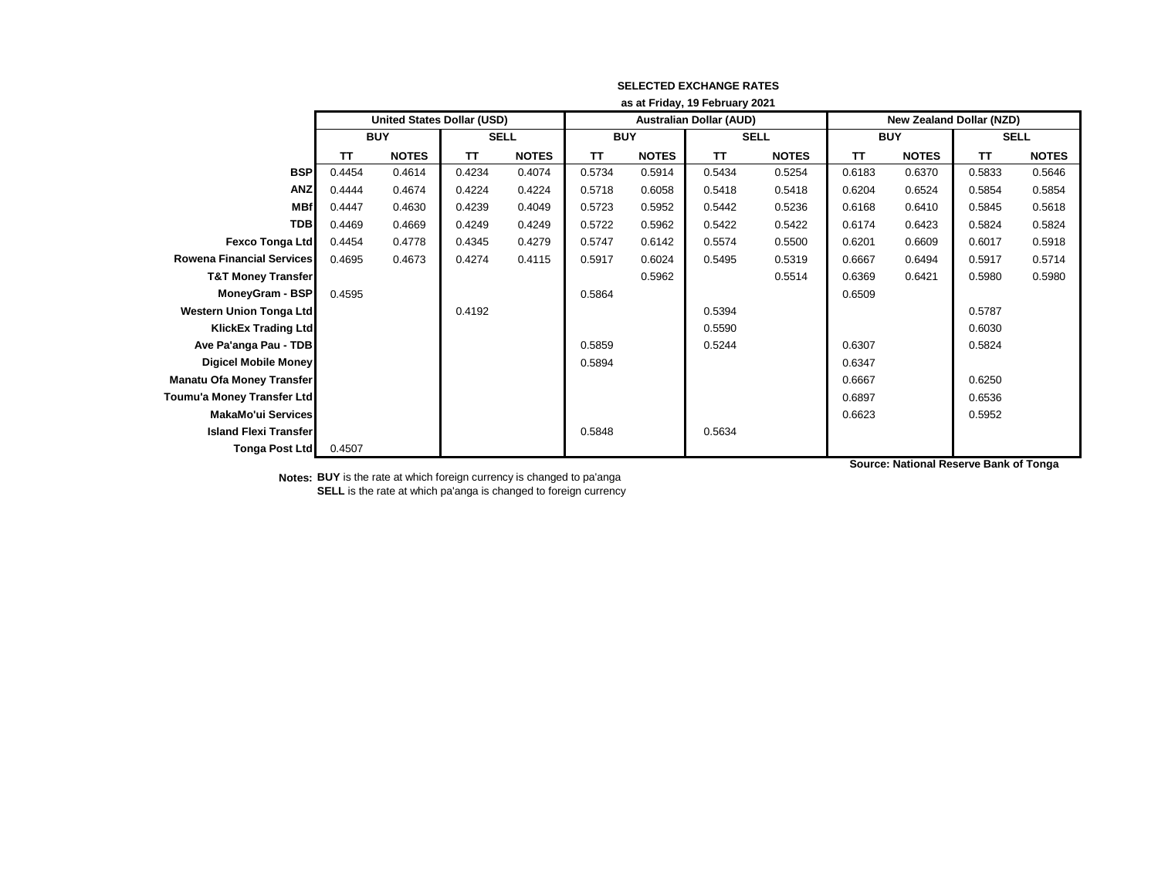|                                  | as at Friday, 19 February 2021 |                                   |             |              |            |              |                                |              |                          |              |             |              |
|----------------------------------|--------------------------------|-----------------------------------|-------------|--------------|------------|--------------|--------------------------------|--------------|--------------------------|--------------|-------------|--------------|
|                                  |                                | <b>United States Dollar (USD)</b> |             |              |            |              | <b>Australian Dollar (AUD)</b> |              | New Zealand Dollar (NZD) |              |             |              |
|                                  | <b>BUY</b>                     |                                   | <b>SELL</b> |              | <b>BUY</b> |              | <b>SELL</b>                    |              | <b>BUY</b>               |              | <b>SELL</b> |              |
|                                  | <b>TT</b>                      | <b>NOTES</b>                      | <b>TT</b>   | <b>NOTES</b> | <b>TT</b>  | <b>NOTES</b> | <b>TT</b>                      | <b>NOTES</b> | <b>TT</b>                | <b>NOTES</b> | <b>TT</b>   | <b>NOTES</b> |
| <b>BSP</b>                       | 0.4454                         | 0.4614                            | 0.4234      | 0.4074       | 0.5734     | 0.5914       | 0.5434                         | 0.5254       | 0.6183                   | 0.6370       | 0.5833      | 0.5646       |
| <b>ANZ</b>                       | 0.4444                         | 0.4674                            | 0.4224      | 0.4224       | 0.5718     | 0.6058       | 0.5418                         | 0.5418       | 0.6204                   | 0.6524       | 0.5854      | 0.5854       |
| <b>MBf</b>                       | 0.4447                         | 0.4630                            | 0.4239      | 0.4049       | 0.5723     | 0.5952       | 0.5442                         | 0.5236       | 0.6168                   | 0.6410       | 0.5845      | 0.5618       |
| <b>TDB</b>                       | 0.4469                         | 0.4669                            | 0.4249      | 0.4249       | 0.5722     | 0.5962       | 0.5422                         | 0.5422       | 0.6174                   | 0.6423       | 0.5824      | 0.5824       |
| <b>Fexco Tonga Ltd</b>           | 0.4454                         | 0.4778                            | 0.4345      | 0.4279       | 0.5747     | 0.6142       | 0.5574                         | 0.5500       | 0.6201                   | 0.6609       | 0.6017      | 0.5918       |
| <b>Rowena Financial Services</b> | 0.4695                         | 0.4673                            | 0.4274      | 0.4115       | 0.5917     | 0.6024       | 0.5495                         | 0.5319       | 0.6667                   | 0.6494       | 0.5917      | 0.5714       |
| <b>T&amp;T Money Transfer</b>    |                                |                                   |             |              |            | 0.5962       |                                | 0.5514       | 0.6369                   | 0.6421       | 0.5980      | 0.5980       |
| MoneyGram - BSP                  | 0.4595                         |                                   |             |              | 0.5864     |              |                                |              | 0.6509                   |              |             |              |
| Western Union Tonga Ltd          |                                |                                   | 0.4192      |              |            |              | 0.5394                         |              |                          |              | 0.5787      |              |
| <b>KlickEx Trading Ltd</b>       |                                |                                   |             |              |            |              | 0.5590                         |              |                          |              | 0.6030      |              |
| Ave Pa'anga Pau - TDB            |                                |                                   |             |              | 0.5859     |              | 0.5244                         |              | 0.6307                   |              | 0.5824      |              |
| <b>Digicel Mobile Money</b>      |                                |                                   |             |              | 0.5894     |              |                                |              | 0.6347                   |              |             |              |
| <b>Manatu Ofa Money Transfer</b> |                                |                                   |             |              |            |              |                                |              | 0.6667                   |              | 0.6250      |              |
| Toumu'a Money Transfer Ltd       |                                |                                   |             |              |            |              |                                |              | 0.6897                   |              | 0.6536      |              |
| <b>MakaMo'ui Services</b>        |                                |                                   |             |              |            |              |                                |              | 0.6623                   |              | 0.5952      |              |
| <b>Island Flexi Transfer</b>     |                                |                                   |             |              | 0.5848     |              | 0.5634                         |              |                          |              |             |              |
| Tonga Post Ltd                   | 0.4507                         |                                   |             |              |            |              |                                |              |                          |              |             |              |

**Notes: BUY** is the rate at which foreign currency is changed to pa'anga **SELL** is the rate at which pa'anga is changed to foreign currency **Source: National Reserve Bank of Tonga**